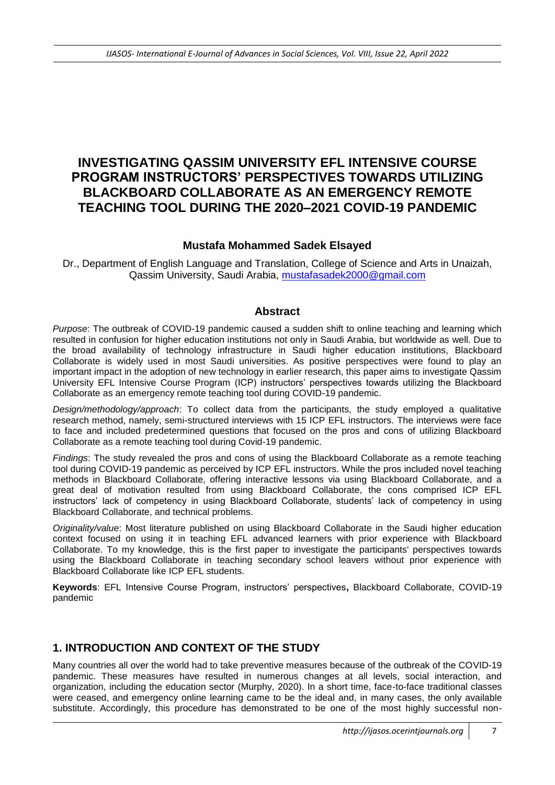# **INVESTIGATING QASSIM UNIVERSITY EFL INTENSIVE COURSE PROGRAM INSTRUCTORS' PERSPECTIVES TOWARDS UTILIZING BLACKBOARD COLLABORATE AS AN EMERGENCY REMOTE TEACHING TOOL DURING THE 2020–2021 COVID-19 PANDEMIC**

#### **Mustafa Mohammed Sadek Elsayed**

Dr., Department of English Language and Translation, College of Science and Arts in Unaizah, Qassim University, Saudi Arabia, [mustafasadek2000@gmail.com](mailto:mustafasadek2000@gmail.com)

#### **Abstract**

*Purpose*: The outbreak of COVID-19 pandemic caused a sudden shift to online teaching and learning which resulted in confusion for higher education institutions not only in Saudi Arabia, but worldwide as well. Due to the broad availability of technology infrastructure in Saudi higher education institutions, Blackboard Collaborate is widely used in most Saudi universities. As positive perspectives were found to play an important impact in the adoption of new technology in earlier research, this paper aims to investigate Qassim University EFL Intensive Course Program (ICP) instructors' perspectives towards utilizing the Blackboard Collaborate as an emergency remote teaching tool during COVID-19 pandemic.

*Design/methodology/approach*: To collect data from the participants, the study employed a qualitative research method, namely, semi-structured interviews with 15 ICP EFL instructors. The interviews were face to face and included predetermined questions that focused on the pros and cons of utilizing Blackboard Collaborate as a remote teaching tool during Covid-19 pandemic.

*Findings*: The study revealed the pros and cons of using the Blackboard Collaborate as a remote teaching tool during COVID-19 pandemic as perceived by ICP EFL instructors. While the pros included novel teaching methods in Blackboard Collaborate, offering interactive lessons via using Blackboard Collaborate, and a great deal of motivation resulted from using Blackboard Collaborate, the cons comprised ICP EFL instructors' lack of competency in using Blackboard Collaborate, students' lack of competency in using Blackboard Collaborate, and technical problems.

*Originality/value*: Most literature published on using Blackboard Collaborate in the Saudi higher education context focused on using it in teaching EFL advanced learners with prior experience with Blackboard Collaborate. To my knowledge, this is the first paper to investigate the participants' perspectives towards using the Blackboard Collaborate in teaching secondary school leavers without prior experience with Blackboard Collaborate like ICP EFL students.

**Keywords**: EFL Intensive Course Program, instructors' perspectives**,** Blackboard Collaborate, COVID-19 pandemic

### **1. INTRODUCTION AND CONTEXT OF THE STUDY**

Many countries all over the world had to take preventive measures because of the outbreak of the COVID-19 pandemic. These measures have resulted in numerous changes at all levels, social interaction, and organization, including the education sector (Murphy, 2020). In a short time, face-to-face traditional classes were ceased, and emergency online learning came to be the ideal and, in many cases, the only available substitute. Accordingly, this procedure has demonstrated to be one of the most highly successful non-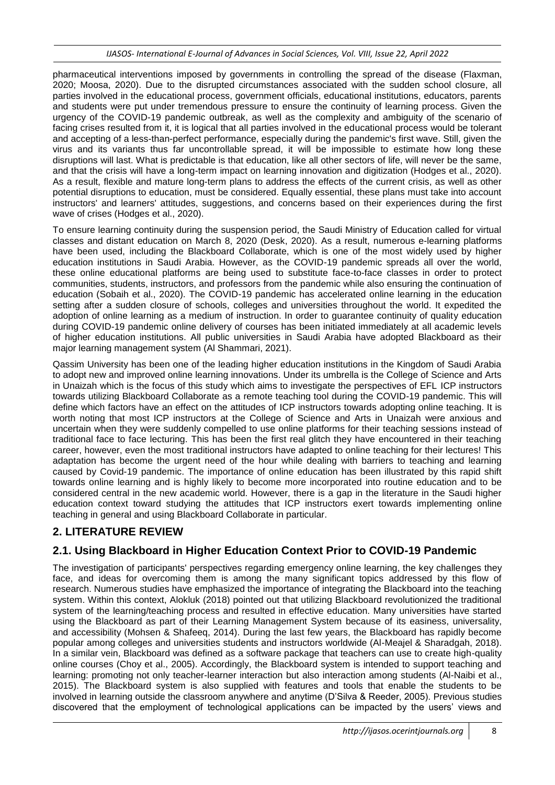pharmaceutical interventions imposed by governments in controlling the spread of the disease (Flaxman, 2020; Moosa, 2020). Due to the disrupted circumstances associated with the sudden school closure, all parties involved in the educational process, government officials, educational institutions, educators, parents and students were put under tremendous pressure to ensure the continuity of learning process. Given the urgency of the COVID-19 pandemic outbreak, as well as the complexity and ambiguity of the scenario of facing crises resulted from it, it is logical that all parties involved in the educational process would be tolerant and accepting of a less-than-perfect performance, especially during the pandemic's first wave. Still, given the virus and its variants thus far uncontrollable spread, it will be impossible to estimate how long these disruptions will last. What is predictable is that education, like all other sectors of life, will never be the same, and that the crisis will have a long-term impact on learning innovation and digitization (Hodges et al., 2020). As a result, flexible and mature long-term plans to address the effects of the current crisis, as well as other potential disruptions to education, must be considered. Equally essential, these plans must take into account instructors' and learners' attitudes, suggestions, and concerns based on their experiences during the first wave of crises (Hodges et al., 2020).

To ensure learning continuity during the suspension period, the Saudi Ministry of Education called for virtual classes and distant education on March 8, 2020 (Desk, 2020). As a result, numerous e-learning platforms have been used, including the Blackboard Collaborate, which is one of the most widely used by higher education institutions in Saudi Arabia. However, as the COVID-19 pandemic spreads all over the world, these online educational platforms are being used to substitute face-to-face classes in order to protect communities, students, instructors, and professors from the pandemic while also ensuring the continuation of education (Sobaih et al., 2020). The COVID-19 pandemic has accelerated online learning in the education setting after a sudden closure of schools, colleges and universities throughout the world. It expedited the adoption of online learning as a medium of instruction. In order to guarantee continuity of quality education during COVID-19 pandemic online delivery of courses has been initiated immediately at all academic levels of higher education institutions. All public universities in Saudi Arabia have adopted Blackboard as their major learning management system (Al Shammari, 2021).

Qassim University has been one of the leading higher education institutions in the Kingdom of Saudi Arabia to adopt new and improved online learning innovations. Under its umbrella is the College of Science and Arts in Unaizah which is the focus of this study which aims to investigate the perspectives of EFL ICP instructors towards utilizing Blackboard Collaborate as a remote teaching tool during the COVID-19 pandemic. This will define which factors have an effect on the attitudes of ICP instructors towards adopting online teaching. It is worth noting that most ICP instructors at the College of Science and Arts in Unaizah were anxious and uncertain when they were suddenly compelled to use online platforms for their teaching sessions instead of traditional face to face lecturing. This has been the first real glitch they have encountered in their teaching career, however, even the most traditional instructors have adapted to online teaching for their lectures! This adaptation has become the urgent need of the hour while dealing with barriers to teaching and learning caused by Covid-19 pandemic. The importance of online education has been illustrated by this rapid shift towards online learning and is highly likely to become more incorporated into routine education and to be considered central in the new academic world. However, there is a gap in the literature in the Saudi higher education context toward studying the attitudes that ICP instructors exert towards implementing online teaching in general and using Blackboard Collaborate in particular.

# **2. LITERATURE REVIEW**

### **2.1. Using Blackboard in Higher Education Context Prior to COVID-19 Pandemic**

The investigation of participants' perspectives regarding emergency online learning, the key challenges they face, and ideas for overcoming them is among the many significant topics addressed by this flow of research. Numerous studies have emphasized the importance of integrating the Blackboard into the teaching system. Within this context, Alokluk (2018) pointed out that utilizing Blackboard revolutionized the traditional system of the learning/teaching process and resulted in effective education. Many universities have started using the Blackboard as part of their Learning Management System because of its easiness, universality, and accessibility (Mohsen & Shafeeq, 2014). During the last few years, the Blackboard has rapidly become popular among colleges and universities students and instructors worldwide (Al-Meajel & Sharadgah, 2018). In a similar vein, Blackboard was defined as a software package that teachers can use to create high-quality online courses (Choy et al., 2005). Accordingly, the Blackboard system is intended to support teaching and learning: promoting not only teacher-learner interaction but also interaction among students (Al-Naibi et al., 2015). The Blackboard system is also supplied with features and tools that enable the students to be involved in learning outside the classroom anywhere and anytime (D'Silva & Reeder, 2005). Previous studies discovered that the employment of technological applications can be impacted by the users' views and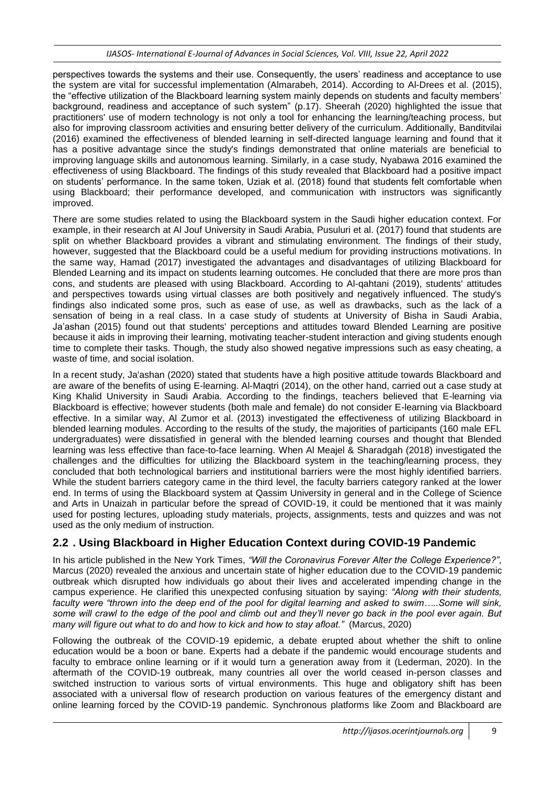perspectives towards the systems and their use. Consequently, the users' readiness and acceptance to use the system are vital for successful implementation (Almarabeh, 2014). According to Al-Drees et al. (2015), the "effective utilization of the Blackboard learning system mainly depends on students and faculty members' background, readiness and acceptance of such system" (p.17). Sheerah (2020) highlighted the issue that practitioners' use of modern technology is not only a tool for enhancing the learning/teaching process, but also for improving classroom activities and ensuring better delivery of the curriculum. Additionally, Banditvilai (2016) examined the effectiveness of blended learning in self-directed language learning and found that it has a positive advantage since the study's findings demonstrated that online materials are beneficial to improving language skills and autonomous learning. Similarly, in a case study, Nyabawa 2016 examined the effectiveness of using Blackboard. The findings of this study revealed that Blackboard had a positive impact on students' performance. In the same token, Uziak et al. (2018) found that students felt comfortable when using Blackboard; their performance developed, and communication with instructors was significantly improved.

There are some studies related to using the Blackboard system in the Saudi higher education context. For example, in their research at Al Jouf University in Saudi Arabia, Pusuluri et al. (2017) found that students are split on whether Blackboard provides a vibrant and stimulating environment. The findings of their study, however, suggested that the Blackboard could be a useful medium for providing instructions motivations. In the same way, Hamad (2017) investigated the advantages and disadvantages of utilizing Blackboard for Blended Learning and its impact on students learning outcomes. He concluded that there are more pros than cons, and students are pleased with using Blackboard. According to Al-qahtani (2019), students' attitudes and perspectives towards using virtual classes are both positively and negatively influenced. The study's findings also indicated some pros, such as ease of use, as well as drawbacks, such as the lack of a sensation of being in a real class. In a case study of students at University of Bisha in Saudi Arabia, Ja'ashan (2015) found out that students' perceptions and attitudes toward Blended Learning are positive because it aids in improving their learning, motivating teacher-student interaction and giving students enough time to complete their tasks. Though, the study also showed negative impressions such as easy cheating, a waste of time, and social isolation.

In a recent study, Ja'ashan (2020) stated that students have a high positive attitude towards Blackboard and are aware of the benefits of using E-learning. Al-Maqtri (2014), on the other hand, carried out a case study at King Khalid University in Saudi Arabia. According to the findings, teachers believed that E-learning via Blackboard is effective; however students (both male and female) do not consider E-learning via Blackboard effective. In a similar way, Al Zumor et al. (2013) investigated the effectiveness of utilizing Blackboard in blended learning modules. According to the results of the study, the majorities of participants (160 male EFL undergraduates) were dissatisfied in general with the blended learning courses and thought that Blended learning was less effective than face-to-face learning. When Al Meajel & Sharadgah (2018) investigated the challenges and the difficulties for utilizing the Blackboard system in the teaching/learning process, they concluded that both technological barriers and institutional barriers were the most highly identified barriers. While the student barriers category came in the third level, the faculty barriers category ranked at the lower end. In terms of using the Blackboard system at Qassim University in general and in the College of Science and Arts in Unaizah in particular before the spread of COVID-19, it could be mentioned that it was mainly used for posting lectures, uploading study materials, projects, assignments, tests and quizzes and was not used as the only medium of instruction.

# **2.2 . Using Blackboard in Higher Education Context during COVID-19 Pandemic**

In his article published in the New York Times, *"Will the Coronavirus Forever Alter the College Experience?",* Marcus (2020) revealed the anxious and uncertain state of higher education due to the COVID-19 pandemic outbreak which disrupted how individuals go about their lives and accelerated impending change in the campus experience. He clarified this unexpected confusing situation by saying: *"Along with their students, faculty were "thrown into the deep end of the pool for digital learning and asked to swim…..Some will sink, some will crawl to the edge of the pool and climb out and they'll never go back in the pool ever again. But many will figure out what to do and how to kick and how to stay afloat."* (Marcus, 2020)

Following the outbreak of the COVID-19 epidemic, a debate erupted about whether the shift to online education would be a boon or bane. Experts had a debate if the pandemic would encourage students and faculty to embrace online learning or if it would turn a generation away from it (Lederman, 2020). In the aftermath of the COVID-19 outbreak, many countries all over the world ceased in-person classes and switched instruction to various sorts of virtual environments. This huge and obligatory shift has been associated with a universal flow of research production on various features of the emergency distant and online learning forced by the COVID-19 pandemic. Synchronous platforms like Zoom and Blackboard are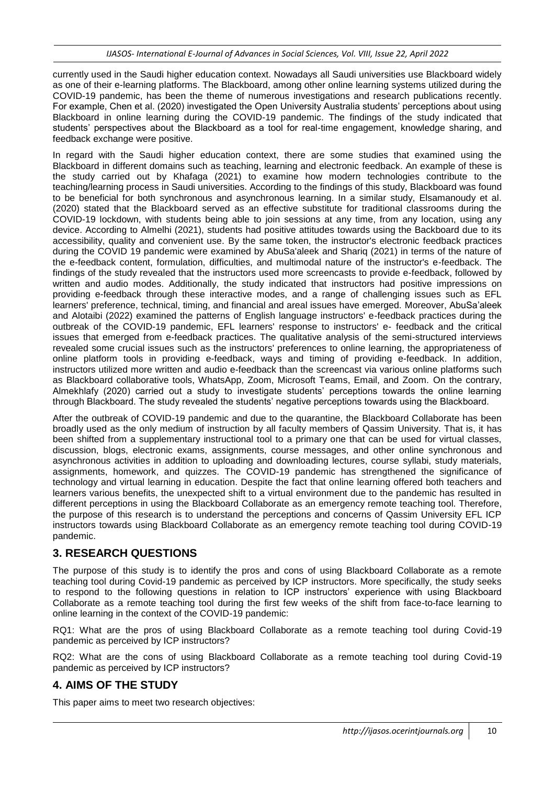currently used in the Saudi higher education context. Nowadays all Saudi universities use Blackboard widely as one of their e-learning platforms. The Blackboard, among other online learning systems utilized during the COVID-19 pandemic, has been the theme of numerous investigations and research publications recently. For example, Chen et al. (2020) investigated the Open University Australia students' perceptions about using Blackboard in online learning during the COVID-19 pandemic. The findings of the study indicated that students' perspectives about the Blackboard as a tool for real-time engagement, knowledge sharing, and feedback exchange were positive.

In regard with the Saudi higher education context, there are some studies that examined using the Blackboard in different domains such as teaching, learning and electronic feedback. An example of these is the study carried out by Khafaga (2021) to examine how modern technologies contribute to the teaching/learning process in Saudi universities. According to the findings of this study, Blackboard was found to be beneficial for both synchronous and asynchronous learning. In a similar study, Elsamanoudy et al. (2020) stated that the Blackboard served as an effective substitute for traditional classrooms during the COVID-19 lockdown, with students being able to join sessions at any time, from any location, using any device. According to Almelhi (2021), students had positive attitudes towards using the Backboard due to its accessibility, quality and convenient use. By the same token, the instructor's electronic feedback practices during the COVID 19 pandemic were examined by AbuSa'aleek and Shariq (2021) in terms of the nature of the e-feedback content, formulation, difficulties, and multimodal nature of the instructor's e-feedback. The findings of the study revealed that the instructors used more screencasts to provide e-feedback, followed by written and audio modes. Additionally, the study indicated that instructors had positive impressions on providing e-feedback through these interactive modes, and a range of challenging issues such as EFL learners' preference, technical, timing, and financial and areal issues have emerged. Moreover, AbuSa'aleek and Alotaibi (2022) examined the patterns of English language instructors' e-feedback practices during the outbreak of the COVID-19 pandemic, EFL learners' response to instructors' e- feedback and the critical issues that emerged from e-feedback practices. The qualitative analysis of the semi-structured interviews revealed some crucial issues such as the instructors' preferences to online learning, the appropriateness of online platform tools in providing e-feedback, ways and timing of providing e-feedback. In addition, instructors utilized more written and audio e-feedback than the screencast via various online platforms such as Blackboard collaborative tools, WhatsApp, Zoom, Microsoft Teams, Email, and Zoom. On the contrary, Almekhlafy (2020) carried out a study to investigate students' perceptions towards the online learning through Blackboard. The study revealed the students' negative perceptions towards using the Blackboard.

After the outbreak of COVID-19 pandemic and due to the quarantine, the Blackboard Collaborate has been broadly used as the only medium of instruction by all faculty members of Qassim University. That is, it has been shifted from a supplementary instructional tool to a primary one that can be used for virtual classes, discussion, blogs, electronic exams, assignments, course messages, and other online synchronous and asynchronous activities in addition to uploading and downloading lectures, course syllabi, study materials, assignments, homework, and quizzes. The COVID-19 pandemic has strengthened the significance of technology and virtual learning in education. Despite the fact that online learning offered both teachers and learners various benefits, the unexpected shift to a virtual environment due to the pandemic has resulted in different perceptions in using the Blackboard Collaborate as an emergency remote teaching tool. Therefore, the purpose of this research is to understand the perceptions and concerns of Qassim University EFL ICP instructors towards using Blackboard Collaborate as an emergency remote teaching tool during COVID-19 pandemic.

### **3. RESEARCH QUESTIONS**

The purpose of this study is to identify the pros and cons of using Blackboard Collaborate as a remote teaching tool during Covid-19 pandemic as perceived by ICP instructors. More specifically, the study seeks to respond to the following questions in relation to ICP instructors' experience with using Blackboard Collaborate as a remote teaching tool during the first few weeks of the shift from face-to-face learning to online learning in the context of the COVID-19 pandemic:

RQ1: What are the pros of using Blackboard Collaborate as a remote teaching tool during Covid-19 pandemic as perceived by ICP instructors?

RQ2: What are the cons of using Blackboard Collaborate as a remote teaching tool during Covid-19 pandemic as perceived by ICP instructors?

### **4. AIMS OF THE STUDY**

This paper aims to meet two research objectives: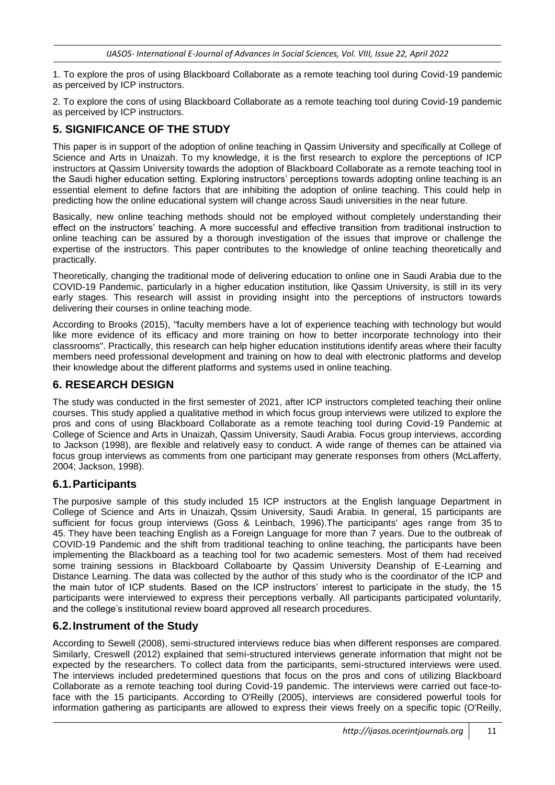1. To explore the pros of using Blackboard Collaborate as a remote teaching tool during Covid-19 pandemic as perceived by ICP instructors.

2. To explore the cons of using Blackboard Collaborate as a remote teaching tool during Covid-19 pandemic as perceived by ICP instructors.

## **5. SIGNIFICANCE OF THE STUDY**

This paper is in support of the adoption of online teaching in Qassim University and specifically at College of Science and Arts in Unaizah. To my knowledge, it is the first research to explore the perceptions of ICP instructors at Qassim University towards the adoption of Blackboard Collaborate as a remote teaching tool in the Saudi higher education setting. Exploring instructors' perceptions towards adopting online teaching is an essential element to define factors that are inhibiting the adoption of online teaching. This could help in predicting how the online educational system will change across Saudi universities in the near future.

Basically, new online teaching methods should not be employed without completely understanding their effect on the instructors' teaching. A more successful and effective transition from traditional instruction to online teaching can be assured by a thorough investigation of the issues that improve or challenge the expertise of the instructors. This paper contributes to the knowledge of online teaching theoretically and practically.

Theoretically, changing the traditional mode of delivering education to online one in Saudi Arabia due to the COVID-19 Pandemic, particularly in a higher education institution, like Qassim University, is still in its very early stages. This research will assist in providing insight into the perceptions of instructors towards delivering their courses in online teaching mode.

According to Brooks (2015), "faculty members have a lot of experience teaching with technology but would like more evidence of its efficacy and more training on how to better incorporate technology into their classrooms". Practically, this research can help higher education institutions identify areas where their faculty members need professional development and training on how to deal with electronic platforms and develop their knowledge about the different platforms and systems used in online teaching.

### **6. RESEARCH DESIGN**

The study was conducted in the first semester of 2021, after ICP instructors completed teaching their online courses. This study applied a qualitative method in which focus group interviews were utilized to explore the pros and cons of using Blackboard Collaborate as a remote teaching tool during Covid-19 Pandemic at College of Science and Arts in Unaizah, Qassim University, Saudi Arabia. Focus group interviews, according to Jackson (1998), are flexible and relatively easy to conduct. A wide range of themes can be attained via focus group interviews as comments from one participant may generate responses from others (McLafferty, 2004; Jackson, 1998).

### **6.1.Participants**

The purposive sample of this study included 15 ICP instructors at the English language Department in College of Science and Arts in Unaizah, Qssim University, Saudi Arabia. In general, 15 participants are sufficient for focus group interviews (Goss & Leinbach, 1996).The participants' ages range from 35 to 45. They have been teaching English as a Foreign Language for more than 7 years. Due to the outbreak of COVID-19 Pandemic and the shift from traditional teaching to online teaching, the participants have been implementing the Blackboard as a teaching tool for two academic semesters. Most of them had received some training sessions in Blackboard Collaboarte by Qassim University Deanship of E-Learning and Distance Learning. The data was collected by the author of this study who is the coordinator of the ICP and the main tutor of ICP students. Based on the ICP instructors' interest to participate in the study, the 15 participants were interviewed to express their perceptions verbally. All participants participated voluntarily, and the college's institutional review board approved all research procedures.

### **6.2.Instrument of the Study**

According to Sewell (2008), semi-structured interviews reduce bias when different responses are compared. Similarly, Creswell (2012) explained that semi-structured interviews generate information that might not be expected by the researchers. To collect data from the participants, semi-structured interviews were used. The interviews included predetermined questions that focus on the pros and cons of utilizing Blackboard Collaborate as a remote teaching tool during Covid-19 pandemic. The interviews were carried out face-toface with the 15 participants. According to O'Reilly (2005), interviews are considered powerful tools for information gathering as participants are allowed to express their views freely on a specific topic (O'Reilly,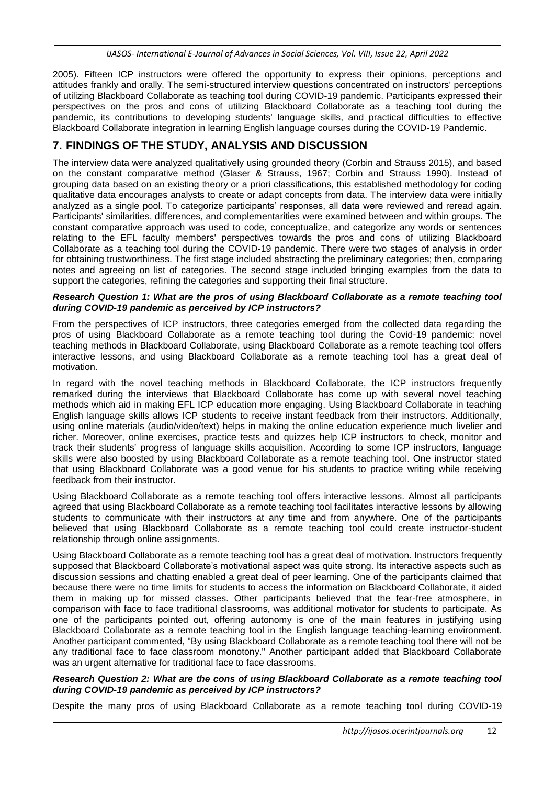2005). Fifteen ICP instructors were offered the opportunity to express their opinions, perceptions and attitudes frankly and orally. The semi-structured interview questions concentrated on instructors' perceptions of utilizing Blackboard Collaborate as teaching tool during COVID-19 pandemic. Participants expressed their perspectives on the pros and cons of utilizing Blackboard Collaborate as a teaching tool during the pandemic, its contributions to developing students' language skills, and practical difficulties to effective Blackboard Collaborate integration in learning English language courses during the COVID-19 Pandemic.

## **7. FINDINGS OF THE STUDY, ANALYSIS AND DISCUSSION**

The interview data were analyzed qualitatively using grounded theory (Corbin and Strauss 2015), and based on the constant comparative method (Glaser & Strauss, 1967; Corbin and Strauss 1990). Instead of grouping data based on an existing theory or a priori classifications, this established methodology for coding qualitative data encourages analysts to create or adapt concepts from data. The interview data were initially analyzed as a single pool. To categorize participants' responses, all data were reviewed and reread again. Participants' similarities, differences, and complementarities were examined between and within groups. The constant comparative approach was used to code, conceptualize, and categorize any words or sentences relating to the EFL faculty members' perspectives towards the pros and cons of utilizing Blackboard Collaborate as a teaching tool during the COVID-19 pandemic. There were two stages of analysis in order for obtaining trustworthiness. The first stage included abstracting the preliminary categories; then, comparing notes and agreeing on list of categories. The second stage included bringing examples from the data to support the categories, refining the categories and supporting their final structure.

#### *Research Question 1: What are the pros of using Blackboard Collaborate as a remote teaching tool during COVID-19 pandemic as perceived by ICP instructors?*

From the perspectives of ICP instructors, three categories emerged from the collected data regarding the pros of using Blackboard Collaborate as a remote teaching tool during the Covid-19 pandemic: novel teaching methods in Blackboard Collaborate, using Blackboard Collaborate as a remote teaching tool offers interactive lessons, and using Blackboard Collaborate as a remote teaching tool has a great deal of motivation.

In regard with the novel teaching methods in Blackboard Collaborate, the ICP instructors frequently remarked during the interviews that Blackboard Collaborate has come up with several novel teaching methods which aid in making EFL ICP education more engaging. Using Blackboard Collaborate in teaching English language skills allows ICP students to receive instant feedback from their instructors. Additionally, using online materials (audio/video/text) helps in making the online education experience much livelier and richer. Moreover, online exercises, practice tests and quizzes help ICP instructors to check, monitor and track their students' progress of language skills acquisition. According to some ICP instructors, language skills were also boosted by using Blackboard Collaborate as a remote teaching tool. One instructor stated that using Blackboard Collaborate was a good venue for his students to practice writing while receiving feedback from their instructor.

Using Blackboard Collaborate as a remote teaching tool offers interactive lessons. Almost all participants agreed that using Blackboard Collaborate as a remote teaching tool facilitates interactive lessons by allowing students to communicate with their instructors at any time and from anywhere. One of the participants believed that using Blackboard Collaborate as a remote teaching tool could create instructor-student relationship through online assignments.

Using Blackboard Collaborate as a remote teaching tool has a great deal of motivation. Instructors frequently supposed that Blackboard Collaborate's motivational aspect was quite strong. Its interactive aspects such as discussion sessions and chatting enabled a great deal of peer learning. One of the participants claimed that because there were no time limits for students to access the information on Blackboard Collaborate, it aided them in making up for missed classes. Other participants believed that the fear-free atmosphere, in comparison with face to face traditional classrooms, was additional motivator for students to participate. As one of the participants pointed out, offering autonomy is one of the main features in justifying using Blackboard Collaborate as a remote teaching tool in the English language teaching-learning environment. Another participant commented, "By using Blackboard Collaborate as a remote teaching tool there will not be any traditional face to face classroom monotony." Another participant added that Blackboard Collaborate was an urgent alternative for traditional face to face classrooms.

#### *Research Question 2: What are the cons of using Blackboard Collaborate as a remote teaching tool during COVID-19 pandemic as perceived by ICP instructors?*

Despite the many pros of using Blackboard Collaborate as a remote teaching tool during COVID-19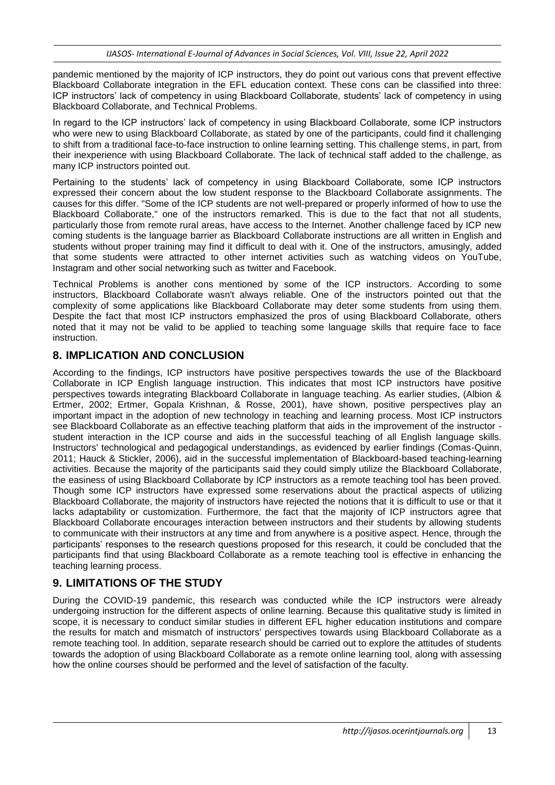pandemic mentioned by the majority of ICP instructors, they do point out various cons that prevent effective Blackboard Collaborate integration in the EFL education context. These cons can be classified into three: ICP instructors' lack of competency in using Blackboard Collaborate, students' lack of competency in using Blackboard Collaborate, and Technical Problems.

In regard to the ICP instructors' lack of competency in using Blackboard Collaborate, some ICP instructors who were new to using Blackboard Collaborate, as stated by one of the participants, could find it challenging to shift from a traditional face-to-face instruction to online learning setting. This challenge stems, in part, from their inexperience with using Blackboard Collaborate. The lack of technical staff added to the challenge, as many ICP instructors pointed out.

Pertaining to the students' lack of competency in using Blackboard Collaborate, some ICP instructors expressed their concern about the low student response to the Blackboard Collaborate assignments. The causes for this differ. "Some of the ICP students are not well-prepared or properly informed of how to use the Blackboard Collaborate," one of the instructors remarked. This is due to the fact that not all students, particularly those from remote rural areas, have access to the Internet. Another challenge faced by ICP new coming students is the language barrier as Blackboard Collaborate instructions are all written in English and students without proper training may find it difficult to deal with it. One of the instructors, amusingly, added that some students were attracted to other internet activities such as watching videos on YouTube, Instagram and other social networking such as twitter and Facebook.

Technical Problems is another cons mentioned by some of the ICP instructors. According to some instructors, Blackboard Collaborate wasn't always reliable. One of the instructors pointed out that the complexity of some applications like Blackboard Collaborate may deter some students from using them. Despite the fact that most ICP instructors emphasized the pros of using Blackboard Collaborate, others noted that it may not be valid to be applied to teaching some language skills that require face to face instruction.

### **8. IMPLICATION AND CONCLUSION**

According to the findings, ICP instructors have positive perspectives towards the use of the Blackboard Collaborate in ICP English language instruction. This indicates that most ICP instructors have positive perspectives towards integrating Blackboard Collaborate in language teaching. As earlier studies, (Albion & Ertmer, 2002; Ertmer, Gopala Krishnan, & Rosse, 2001), have shown, positive perspectives play an important impact in the adoption of new technology in teaching and learning process. Most ICP instructors see Blackboard Collaborate as an effective teaching platform that aids in the improvement of the instructor student interaction in the ICP course and aids in the successful teaching of all English language skills. Instructors' technological and pedagogical understandings, as evidenced by earlier findings (Comas-Quinn, 2011; Hauck & Stickler, 2006), aid in the successful implementation of Blackboard-based teaching-learning activities. Because the majority of the participants said they could simply utilize the Blackboard Collaborate, the easiness of using Blackboard Collaborate by ICP instructors as a remote teaching tool has been proved. Though some ICP instructors have expressed some reservations about the practical aspects of utilizing Blackboard Collaborate, the majority of instructors have rejected the notions that it is difficult to use or that it lacks adaptability or customization. Furthermore, the fact that the majority of ICP instructors agree that Blackboard Collaborate encourages interaction between instructors and their students by allowing students to communicate with their instructors at any time and from anywhere is a positive aspect. Hence, through the participants' responses to the research questions proposed for this research, it could be concluded that the participants find that using Blackboard Collaborate as a remote teaching tool is effective in enhancing the teaching learning process.

### **9. LIMITATIONS OF THE STUDY**

During the COVID-19 pandemic, this research was conducted while the ICP instructors were already undergoing instruction for the different aspects of online learning. Because this qualitative study is limited in scope, it is necessary to conduct similar studies in different EFL higher education institutions and compare the results for match and mismatch of instructors' perspectives towards using Blackboard Collaborate as a remote teaching tool. In addition, separate research should be carried out to explore the attitudes of students towards the adoption of using Blackboard Collaborate as a remote online learning tool, along with assessing how the online courses should be performed and the level of satisfaction of the faculty.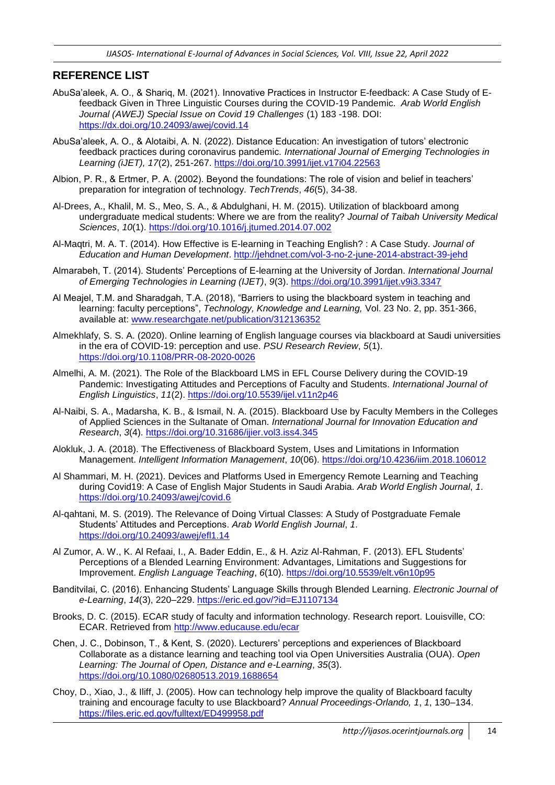#### **REFERENCE LIST**

- AbuSa'aleek, A. O., & Shariq, M. (2021). Innovative Practices in Instructor E-feedback: A Case Study of Efeedback Given in Three Linguistic Courses during the COVID-19 Pandemic. *Arab World English Journal (AWEJ) Special Issue on Covid 19 Challenges* (1) 183 -198. DOI: <https://dx.doi.org/10.24093/awej/covid.14>
- AbuSa'aleek, A. O., & Alotaibi, A. N. (2022). Distance Education: An investigation of tutors' electronic feedback practices during coronavirus pandemic*. International Journal of Emerging Technologies in Learning (iJET), 17*(2), 251-267.<https://doi.org/10.3991/ijet.v17i04.22563>
- Albion, P. R., & Ertmer, P. A. (2002). Beyond the foundations: The role of vision and belief in teachers' preparation for integration of technology. *TechTrends*, *46*(5), 34-38.
- Al-Drees, A., Khalil, M. S., Meo, S. A., & Abdulghani, H. M. (2015). Utilization of blackboard among undergraduate medical students: Where we are from the reality? *Journal of Taibah University Medical Sciences*, *10*(1).<https://doi.org/10.1016/j.jtumed.2014.07.002>
- Al-Maqtri, M. A. T. (2014). How Effective is E-learning in Teaching English? : A Case Study. *Journal of Education and Human Development*. <http://jehdnet.com/vol-3-no-2-june-2014-abstract-39-jehd>
- Almarabeh, T. (2014). Students' Perceptions of E-learning at the University of Jordan. *International Journal of Emerging Technologies in Learning (IJET)*, *9*(3).<https://doi.org/10.3991/ijet.v9i3.3347>
- Al Meajel, T.M. and Sharadgah, T.A. (2018), "Barriers to using the blackboard system in teaching and learning: faculty perceptions", *Technology, Knowledge and Learning,* Vol. 23 No. 2, pp. 351-366, available at: [www.researchgate.net/publication/312136352](http://www.researchgate.net/publication/312136352)
- Almekhlafy, S. S. A. (2020). Online learning of English language courses via blackboard at Saudi universities in the era of COVID-19: perception and use. *PSU Research Review*, *5*(1). <https://doi.org/10.1108/PRR-08-2020-0026>
- Almelhi, A. M. (2021). The Role of the Blackboard LMS in EFL Course Delivery during the COVID-19 Pandemic: Investigating Attitudes and Perceptions of Faculty and Students. *International Journal of English Linguistics*, *11*(2).<https://doi.org/10.5539/ijel.v11n2p46>
- Al-Naibi, S. A., Madarsha, K. B., & Ismail, N. A. (2015). Blackboard Use by Faculty Members in the Colleges of Applied Sciences in the Sultanate of Oman. *International Journal for Innovation Education and Research*, *3*(4).<https://doi.org/10.31686/ijier.vol3.iss4.345>
- Alokluk, J. A. (2018). The Effectiveness of Blackboard System, Uses and Limitations in Information Management. *Intelligent Information Management*, *10*(06).<https://doi.org/10.4236/iim.2018.106012>
- Al Shammari, M. H. (2021). Devices and Platforms Used in Emergency Remote Learning and Teaching during Covid19: A Case of English Major Students in Saudi Arabia. *Arab World English Journal*, *1*. <https://doi.org/10.24093/awej/covid.6>
- Al-qahtani, M. S. (2019). The Relevance of Doing Virtual Classes: A Study of Postgraduate Female Students' Attitudes and Perceptions. *Arab World English Journal*, *1*. <https://doi.org/10.24093/awej/efl1.14>
- Al Zumor, A. W., K. Al Refaai, I., A. Bader Eddin, E., & H. Aziz Al-Rahman, F. (2013). EFL Students' Perceptions of a Blended Learning Environment: Advantages, Limitations and Suggestions for Improvement. *English Language Teaching*, *6*(10).<https://doi.org/10.5539/elt.v6n10p95>
- Banditvilai, C. (2016). Enhancing Students' Language Skills through Blended Learning. *Electronic Journal of e-Learning*, *14*(3), 220–229.<https://eric.ed.gov/?id=EJ1107134>
- Brooks, D. C. (2015). ECAR study of faculty and information technology. Research report. Louisville, CO: ECAR. Retrieved from<http://www.educause.edu/ecar>
- Chen, J. C., Dobinson, T., & Kent, S. (2020). Lecturers' perceptions and experiences of Blackboard Collaborate as a distance learning and teaching tool via Open Universities Australia (OUA). *Open Learning: The Journal of Open, Distance and e-Learning*, *35*(3). <https://doi.org/10.1080/02680513.2019.1688654>
- Choy, D., Xiao, J., & Iliff, J. (2005). How can technology help improve the quality of Blackboard faculty training and encourage faculty to use Blackboard? *Annual Proceedings-Orlando, 1*, *1*, 130–134. <https://files.eric.ed.gov/fulltext/ED499958.pdf>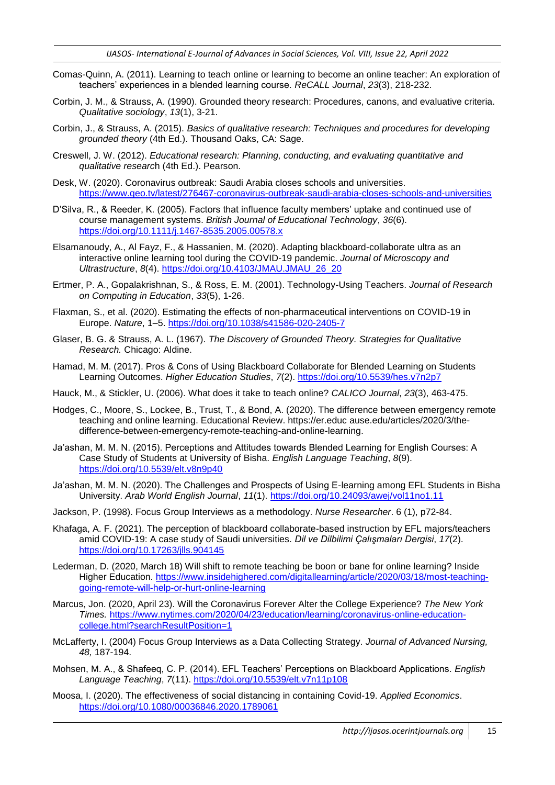- Comas-Quinn, A. (2011). Learning to teach online or learning to become an online teacher: An exploration of teachers' experiences in a blended learning course. *ReCALL Journal*, *23*(3), 218-232.
- Corbin, J. M., & Strauss, A. (1990). Grounded theory research: Procedures, canons, and evaluative criteria. *Qualitative sociology*, *13*(1), 3-21.
- Corbin, J., & Strauss, A. (2015). *Basics of qualitative research: Techniques and procedures for developing grounded theory* (4th Ed.). Thousand Oaks, CA: Sage.
- Creswell, J. W. (2012). *Educational research: Planning, conducting, and evaluating quantitative and qualitative researc*h (4th Ed.). Pearson.
- Desk, W. (2020). Coronavirus outbreak: Saudi Arabia closes schools and universities. <https://www.geo.tv/latest/276467-coronavirus-outbreak-saudi-arabia-closes-schools-and-universities>
- D'Silva, R., & Reeder, K. (2005). Factors that influence faculty members' uptake and continued use of course management systems. *British Journal of Educational Technology*, *36*(6). <https://doi.org/10.1111/j.1467-8535.2005.00578.x>
- Elsamanoudy, A., Al Fayz, F., & Hassanien, M. (2020). Adapting blackboard-collaborate ultra as an interactive online learning tool during the COVID-19 pandemic. *Journal of Microscopy and Ultrastructure*, *8*(4). [https://doi.org/10.4103/JMAU.JMAU\\_26\\_20](https://doi.org/10.4103/JMAU.JMAU_26_20)
- Ertmer, P. A., Gopalakrishnan, S., & Ross, E. M. (2001). Technology-Using Teachers. *Journal of Research on Computing in Education*, *33*(5), 1-26.
- Flaxman, S., et al. (2020). Estimating the effects of non-pharmaceutical interventions on COVID-19 in Europe. *Nature*, 1–5.<https://doi.org/10.1038/s41586-020-2405-7>
- Glaser, B. G. & Strauss, A. L. (1967). *The Discovery of Grounded Theory. Strategies for Qualitative Research.* Chicago: Aldine.
- Hamad, M. M. (2017). Pros & Cons of Using Blackboard Collaborate for Blended Learning on Students Learning Outcomes. *Higher Education Studies*, *7*(2).<https://doi.org/10.5539/hes.v7n2p7>
- Hauck, M., & Stickler, U. (2006). What does it take to teach online? *CALICO Journal*, *23*(3), 463-475.
- Hodges, C., Moore, S., Lockee, B., Trust, T., & Bond, A. (2020). The difference between emergency remote teaching and online learning. Educational Review. https://er.educ ause.edu/articles/2020/3/thedifference-between-emergency-remote-teaching-and-online-learning.
- Ja'ashan, M. M. N. (2015). Perceptions and Attitudes towards Blended Learning for English Courses: A Case Study of Students at University of Bisha. *English Language Teaching*, *8*(9). <https://doi.org/10.5539/elt.v8n9p40>
- Ja'ashan, M. M. N. (2020). The Challenges and Prospects of Using E-learning among EFL Students in Bisha University. *Arab World English Journal*, *11*(1).<https://doi.org/10.24093/awej/vol11no1.11>
- Jackson, P. (1998). Focus Group Interviews as a methodology. *Nurse Researcher*. 6 (1), p72-84.
- Khafaga, A. F. (2021). The perception of blackboard collaborate-based instruction by EFL majors/teachers amid COVID-19: A case study of Saudi universities. *Dil ve Dilbilimi Çalışmaları Dergisi*, *17*(2). <https://doi.org/10.17263/jlls.904145>
- Lederman, D. (2020, March 18) Will shift to remote teaching be boon or bane for online learning? Inside Higher Education. [https://www.insidehighered.com/digitallearning/article/2020/03/18/most-teaching](https://www.insidehighered.com/digitallearning/article/2020/03/18/most-teaching-going-remote-will-help-or-hurt-online-learning)[going-remote-will-help-or-hurt-online-learning](https://www.insidehighered.com/digitallearning/article/2020/03/18/most-teaching-going-remote-will-help-or-hurt-online-learning)
- Marcus, Jon. (2020, April 23). Will the Coronavirus Forever Alter the College Experience? *The New York Times.* [https://www.nytimes.com/2020/04/23/education/learning/coronavirus-online-education](https://www.nytimes.com/2020/04/23/education/learning/coronavirus-online-education-college.html?searchResultPosition=1)[college.html?searchResultPosition=1](https://www.nytimes.com/2020/04/23/education/learning/coronavirus-online-education-college.html?searchResultPosition=1)
- McLafferty, I. (2004) Focus Group Interviews as a Data Collecting Strategy. *Journal of Advanced Nursing, 48,* 187-194.
- Mohsen, M. A., & Shafeeq, C. P. (2014). EFL Teachers' Perceptions on Blackboard Applications. *English Language Teaching*, *7*(11).<https://doi.org/10.5539/elt.v7n11p108>
- Moosa, I. (2020). The effectiveness of social distancing in containing Covid-19. *Applied Economics*. <https://doi.org/10.1080/00036846.2020.1789061>